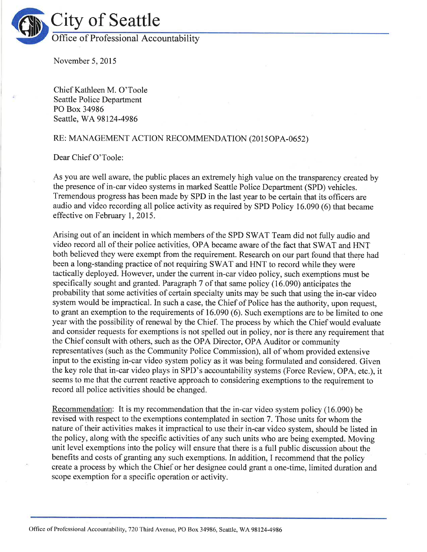

November 5,2015

Chief Kathleen M. O'Toole Seattle Police Department PO Box 34986 Seattle, WA 98124-4986

## RE: MANAGEMENT ACTION RECOMMENDATION (2015OPA-0652)

Dear Chief O'Toole:

As you are well aware, the public places an extremely high value on the transparency created by the presence of in-car video systems in marked Seattle Police Department (SPD) vehicles. Tremendous progress has been made by SPD in the last year to be certain that its officers are audio and video recording all police activity as required by SPD Policy 16.090 (6) that became effective on February 1, 2015.

Arising out of an incident in which members of the SPD SWAT Team did not fully audio and video record all of their police activities, OPA became aware of the fact that SWAT and HNT both believed they were exempt from the requirement. Research on our part found that there had been a long-standing practice of not requiring SV/AT and HNT to record while they were tactically deployed. However, under the current in-car video policy, such exemptions must be specifically sought and granted. Paragraph 7 of that same policy (16.090) anticipates the probability that some activities of certain specialty units may be such that using the in-car video system would be impractical. In such a case, the Chief of Police has the authority, upon request, to grant an exemption to the requirements of 16.090 (6). Such exemptions are to be limited to one year with the possibility of renewal by the Chief. The process by which the Chief would evaluate and consider requests for exemptions is not spelled out in policy, nor is there any requirement that the Chief consult with others, such as the OPA Director, OPA Auditor or community representatives (such as the Community Police Commission), all of whom provided extensive input to the existing in-car video system policy as it was being formulated and considered. Given the key role that in-car video plays in SPD's accountability systems (Force Review, OPA, etc.), it seems to me that the current reactive approach to considering exemptions to the requirement to record all police activities should be changed

Recommendation: It is my recommendation that the in-car video system policy (16.090) be revised with respect to the exemptions contemplated in section 7. Those units for whom the nature of their activities makes it impractical to use their in-car video system, should be listed in the policy, along with the specific activities of any such units who are being exempted. Moving unit level exemptions into the policy will ensure that there is a full public discussion about the benefits and costs of granting any such exemptions. In addition, I recommend that the policy create a process by which the Chief or her designee could grant a one-time, limited duration and scope exemption for a specific operation or activity.